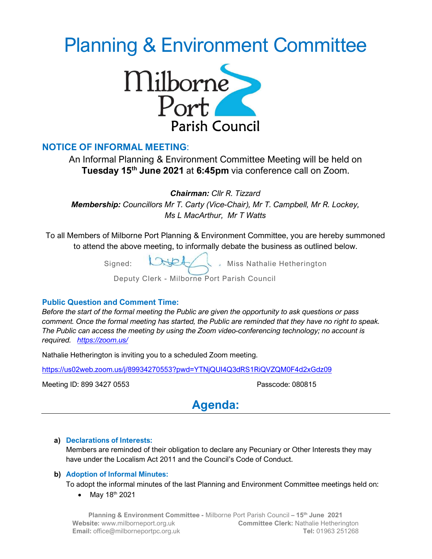# Planning & Environment Committee



## NOTICE OF INFORMAL MEETING:

An Informal Planning & Environment Committee Meeting will be held on Tuesday 15<sup>th</sup> June 2021 at 6:45pm via conference call on Zoom.

Chairman: Cllr R. Tizzard

Membership: Councillors Mr T. Carty (Vice-Chair), Mr T. Campbell, Mr R. Lockey, Ms L MacArthur, Mr T Watts

To all Members of Milborne Port Planning & Environment Committee, you are hereby summoned to attend the above meeting, to informally debate the business as outlined below.

Signed:  $\bigcup \bigcup$  Miss Nathalie Hetherington

Deputy Clerk - Milborne Port Parish Council

## Public Question and Comment Time:

Before the start of the formal meeting the Public are given the opportunity to ask questions or pass comment. Once the formal meeting has started, the Public are reminded that they have no right to speak. The Public can access the meeting by using the Zoom video-conferencing technology; no account is required. https://zoom.us/

Nathalie Hetherington is inviting you to a scheduled Zoom meeting.

https://us02web.zoom.us/j/89934270553?pwd=YTNjQUI4Q3dRS1RiQVZQM0F4d2xGdz09

Meeting ID: 899 3427 0553 Passcode: 080815



## a) Declarations of Interests:

Members are reminded of their obligation to declare any Pecuniary or Other Interests they may have under the Localism Act 2011 and the Council's Code of Conduct.

## b) Adoption of Informal Minutes:

To adopt the informal minutes of the last Planning and Environment Committee meetings held on:

• May  $18^{th}$  2021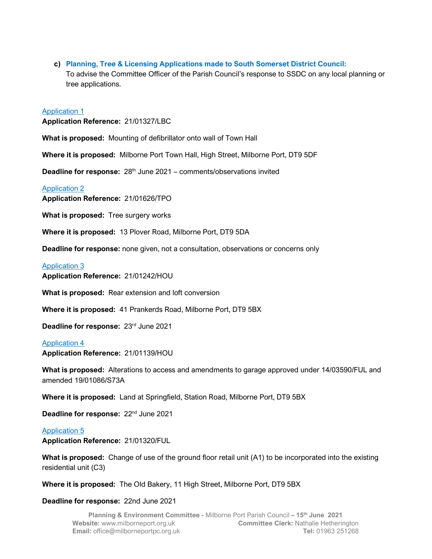c) Planning, Tree & Licensing Applications made to South Somerset District Council: To advise the Committee Officer of the Parish Council's response to SSDC on any local planning or tree applications.

#### Application 1

Application Reference: 21/01327/LBC

What is proposed: Mounting of defibrillator onto wall of Town Hall

Where it is proposed: Milborne Port Town Hall, High Street, Milborne Port, DT9 5DF

**Deadline for response:**  $28<sup>th</sup>$  June 2021 – comments/observations invited

#### Application 2

Application Reference: 21/01626/TPO

What is proposed: Tree surgery works

Where it is proposed: 13 Plover Road, Milborne Port, DT9 5DA

Deadline for response: none given, not a consultation, observations or concerns only

#### Application 3

Application Reference: 21/01242/HOU

What is proposed: Rear extension and loft conversion

Where it is proposed: 41 Prankerds Road, Milborne Port, DT9 5BX

Deadline for response: 23rd June 2021

## Application 4

Application Reference: 21/01139/HOU

What is proposed: Alterations to access and amendments to garage approved under 14/03590/FUL and amended 19/01086/S73A

Where it is proposed: Land at Springfield, Station Road, Milborne Port, DT9 5BX

Deadline for response: 22<sup>nd</sup> June 2021

#### Application 5

Application Reference: 21/01320/FUL

What is proposed: Change of use of the ground floor retail unit (A1) to be incorporated into the existing residential unit (C3)

Where it is proposed: The Old Bakery, 11 High Street, Milborne Port, DT9 5BX

#### Deadline for response: 22nd June 2021